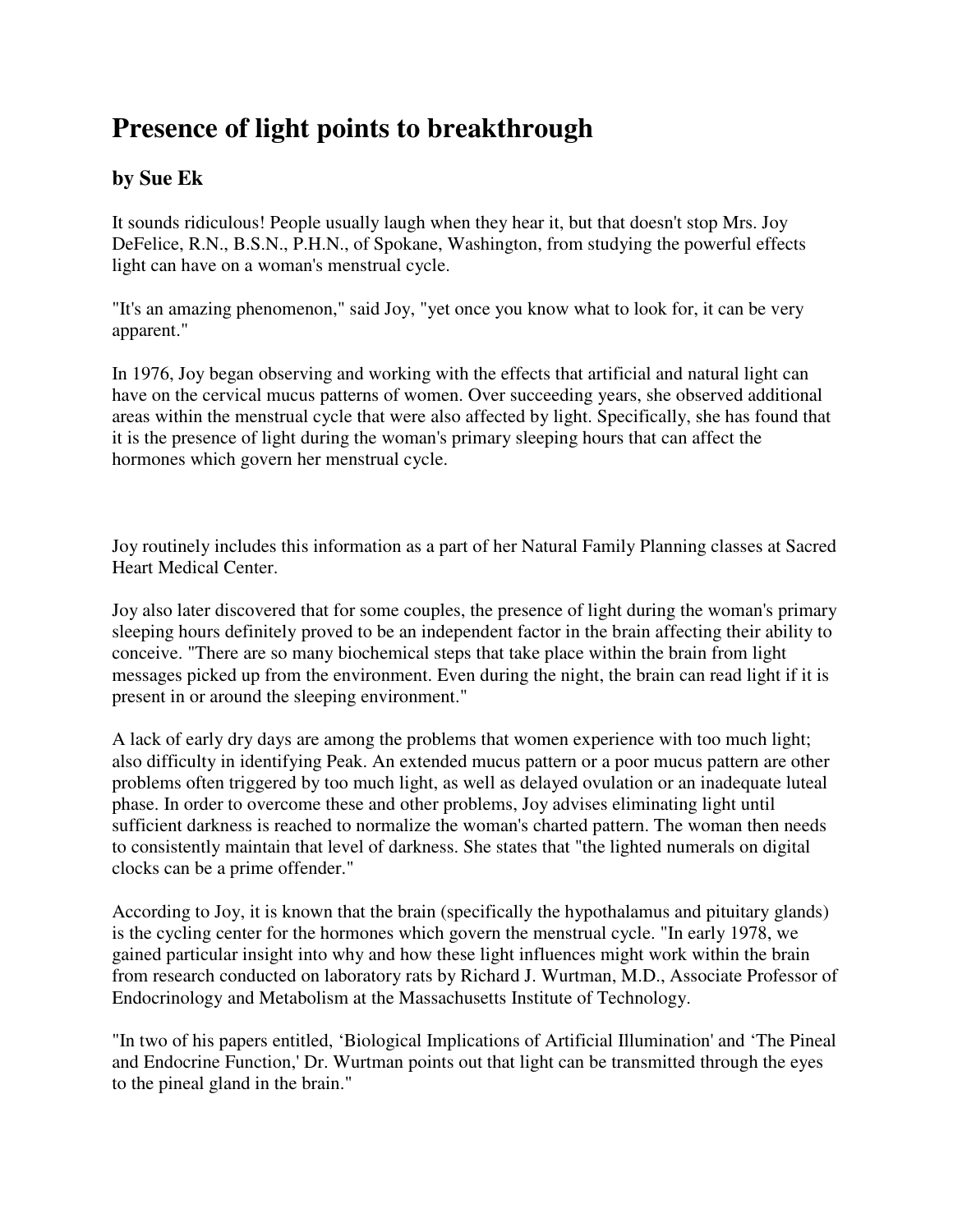## **Presence of light points to breakthrough**

## **by Sue Ek**

It sounds ridiculous! People usually laugh when they hear it, but that doesn't stop Mrs. Joy DeFelice, R.N., B.S.N., P.H.N., of Spokane, Washington, from studying the powerful effects light can have on a woman's menstrual cycle.

"It's an amazing phenomenon," said Joy, "yet once you know what to look for, it can be very apparent."

In 1976, Joy began observing and working with the effects that artificial and natural light can have on the cervical mucus patterns of women. Over succeeding years, she observed additional areas within the menstrual cycle that were also affected by light. Specifically, she has found that it is the presence of light during the woman's primary sleeping hours that can affect the hormones which govern her menstrual cycle.

Joy routinely includes this information as a part of her Natural Family Planning classes at Sacred Heart Medical Center.

Joy also later discovered that for some couples, the presence of light during the woman's primary sleeping hours definitely proved to be an independent factor in the brain affecting their ability to conceive. "There are so many biochemical steps that take place within the brain from light messages picked up from the environment. Even during the night, the brain can read light if it is present in or around the sleeping environment."

A lack of early dry days are among the problems that women experience with too much light; also difficulty in identifying Peak. An extended mucus pattern or a poor mucus pattern are other problems often triggered by too much light, as well as delayed ovulation or an inadequate luteal phase. In order to overcome these and other problems, Joy advises eliminating light until sufficient darkness is reached to normalize the woman's charted pattern. The woman then needs to consistently maintain that level of darkness. She states that "the lighted numerals on digital clocks can be a prime offender."

According to Joy, it is known that the brain (specifically the hypothalamus and pituitary glands) is the cycling center for the hormones which govern the menstrual cycle. "In early 1978, we gained particular insight into why and how these light influences might work within the brain from research conducted on laboratory rats by Richard J. Wurtman, M.D., Associate Professor of Endocrinology and Metabolism at the Massachusetts Institute of Technology.

"In two of his papers entitled, 'Biological Implications of Artificial Illumination' and 'The Pineal and Endocrine Function,' Dr. Wurtman points out that light can be transmitted through the eyes to the pineal gland in the brain."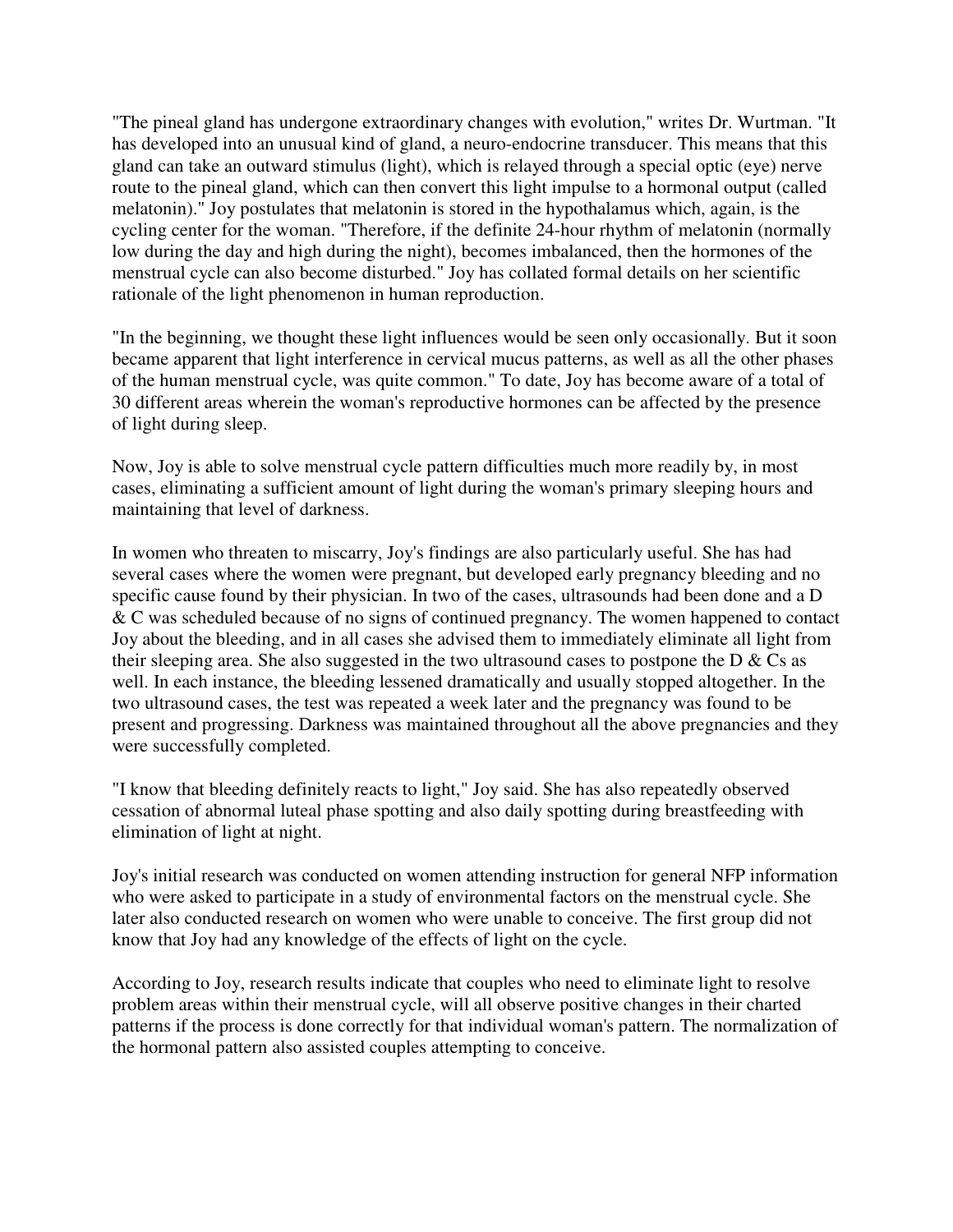"The pineal gland has undergone extraordinary changes with evolution," writes Dr. Wurtman. "It has developed into an unusual kind of gland, a neuro-endocrine transducer. This means that this gland can take an outward stimulus (light), which is relayed through a special optic (eye) nerve route to the pineal gland, which can then convert this light impulse to a hormonal output (called melatonin)." Joy postulates that melatonin is stored in the hypothalamus which, again, is the cycling center for the woman. "Therefore, if the definite 24-hour rhythm of melatonin (normally low during the day and high during the night), becomes imbalanced, then the hormones of the menstrual cycle can also become disturbed." Joy has collated formal details on her scientific rationale of the light phenomenon in human reproduction.

"In the beginning, we thought these light influences would be seen only occasionally. But it soon became apparent that light interference in cervical mucus patterns, as well as all the other phases of the human menstrual cycle, was quite common." To date, Joy has become aware of a total of 30 different areas wherein the woman's reproductive hormones can be affected by the presence of light during sleep.

Now, Joy is able to solve menstrual cycle pattern difficulties much more readily by, in most cases, eliminating a sufficient amount of light during the woman's primary sleeping hours and maintaining that level of darkness.

In women who threaten to miscarry, Joy's findings are also particularly useful. She has had several cases where the women were pregnant, but developed early pregnancy bleeding and no specific cause found by their physician. In two of the cases, ultrasounds had been done and a D & C was scheduled because of no signs of continued pregnancy. The women happened to contact Joy about the bleeding, and in all cases she advised them to immediately eliminate all light from their sleeping area. She also suggested in the two ultrasound cases to postpone the  $D \& Cs$  as well. In each instance, the bleeding lessened dramatically and usually stopped altogether. In the two ultrasound cases, the test was repeated a week later and the pregnancy was found to be present and progressing. Darkness was maintained throughout all the above pregnancies and they were successfully completed.

"I know that bleeding definitely reacts to light," Joy said. She has also repeatedly observed cessation of abnormal luteal phase spotting and also daily spotting during breastfeeding with elimination of light at night.

Joy's initial research was conducted on women attending instruction for general NFP information who were asked to participate in a study of environmental factors on the menstrual cycle. She later also conducted research on women who were unable to conceive. The first group did not know that Joy had any knowledge of the effects of light on the cycle.

According to Joy, research results indicate that couples who need to eliminate light to resolve problem areas within their menstrual cycle, will all observe positive changes in their charted patterns if the process is done correctly for that individual woman's pattern. The normalization of the hormonal pattern also assisted couples attempting to conceive.